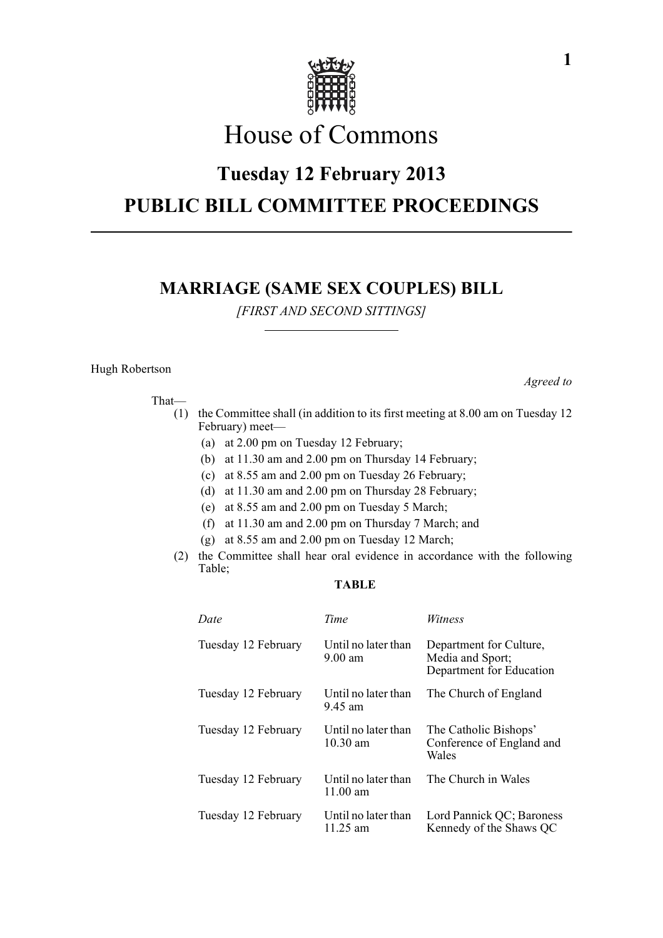

# House of Commons

## **Tuesday 12 February 2013 PUBLIC BILL COMMITTEE PROCEEDINGS**

### **MARRIAGE (SAME SEX COUPLES) BILL**

*[FIRST AND SECOND SITTINGS]*

#### Hugh Robertson

That—

- (1) the Committee shall (in addition to its first meeting at 8.00 am on Tuesday 12 February) meet—
	- (a) at 2.00 pm on Tuesday 12 February;
	- (b) at 11.30 am and 2.00 pm on Thursday 14 February;
	- (c) at 8.55 am and 2.00 pm on Tuesday 26 February;
	- (d) at 11.30 am and 2.00 pm on Thursday 28 February;
	- (e) at 8.55 am and 2.00 pm on Tuesday 5 March;
	- (f) at 11.30 am and 2.00 pm on Thursday 7 March; and
	- (g) at 8.55 am and 2.00 pm on Tuesday 12 March;
- (2) the Committee shall hear oral evidence in accordance with the following Table;

#### **TABLE**

| Date                | Time                                      | Witness                                                                 |
|---------------------|-------------------------------------------|-------------------------------------------------------------------------|
| Tuesday 12 February | Until no later than<br>$9.00$ am          | Department for Culture,<br>Media and Sport;<br>Department for Education |
| Tuesday 12 February | Until no later than<br>9.45 am            | The Church of England                                                   |
| Tuesday 12 February | Until no later than<br>$10.30 \text{ am}$ | The Catholic Bishops'<br>Conference of England and<br>Wales             |
| Tuesday 12 February | Until no later than<br>11.00 $\mu$ m      | The Church in Wales                                                     |
| Tuesday 12 February | Until no later than<br>11.25 $\text{am}$  | Lord Pannick QC; Baroness<br>Kennedy of the Shaws QC                    |

*Agreed to*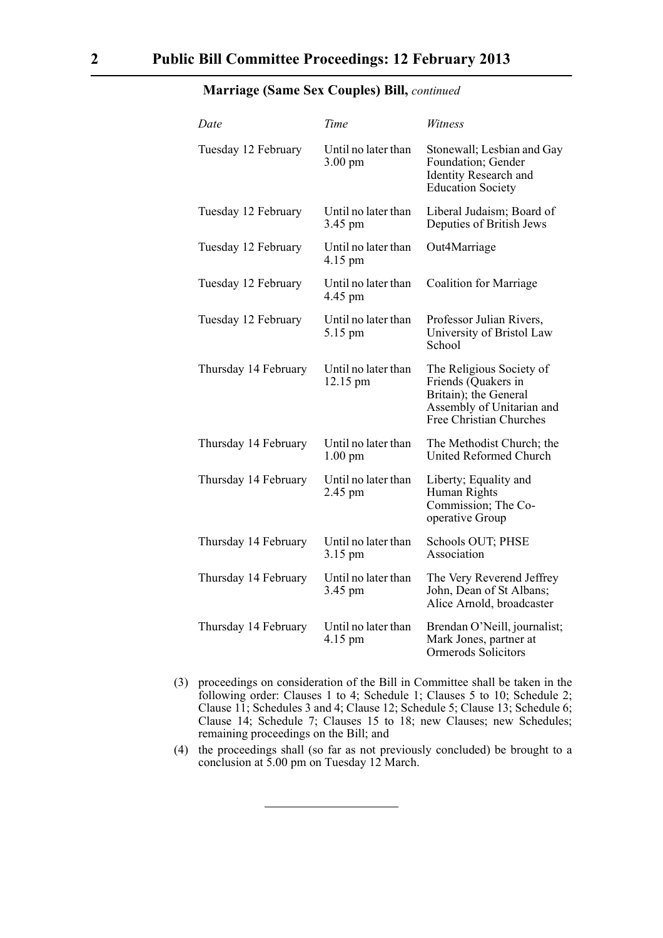| Date                 | Time                                     | Witness                                                                                                                                 |
|----------------------|------------------------------------------|-----------------------------------------------------------------------------------------------------------------------------------------|
| Tuesday 12 February  | Until no later than<br>$3.00 \text{ pm}$ | Stonewall; Lesbian and Gay<br>Foundation; Gender<br>Identity Research and<br><b>Education Society</b>                                   |
| Tuesday 12 February  | Until no later than<br>3.45 pm           | Liberal Judaism; Board of<br>Deputies of British Jews                                                                                   |
| Tuesday 12 February  | Until no later than<br>4.15 pm           | Out4Marriage                                                                                                                            |
| Tuesday 12 February  | Until no later than<br>4.45 pm           | <b>Coalition for Marriage</b>                                                                                                           |
| Tuesday 12 February  | Until no later than<br>5.15 pm           | Professor Julian Rivers,<br>University of Bristol Law<br>School                                                                         |
| Thursday 14 February | Until no later than<br>12.15 pm          | The Religious Society of<br>Friends (Quakers in<br>Britain); the General<br>Assembly of Unitarian and<br><b>Free Christian Churches</b> |
| Thursday 14 February | Until no later than<br>$1.00 \text{ pm}$ | The Methodist Church; the<br><b>United Reformed Church</b>                                                                              |
| Thursday 14 February | Until no later than<br>2.45 pm           | Liberty; Equality and<br>Human Rights<br>Commission; The Co-<br>operative Group                                                         |
| Thursday 14 February | Until no later than<br>3.15 pm           | Schools OUT; PHSE<br>Association                                                                                                        |
| Thursday 14 February | Until no later than<br>3.45 pm           | The Very Reverend Jeffrey<br>John, Dean of St Albans;<br>Alice Arnold, broadcaster                                                      |
| Thursday 14 February | Until no later than<br>4.15 pm           | Brendan O'Neill, journalist;<br>Mark Jones, partner at<br>Ormerods Solicitors                                                           |

#### **Marriage (Same Sex Couples) Bill,** *continued*

- (3) proceedings on consideration of the Bill in Committee shall be taken in the following order: Clauses 1 to 4; Schedule 1; Clauses 5 to 10; Schedule 2; Clause 11; Schedules 3 and 4; Clause 12; Schedule 5; Clause 13; Schedule 6; Clause 14; Schedule 7; Clauses 15 to 18; new Clauses; new Schedules; remaining proceedings on the Bill; and
- (4) the proceedings shall (so far as not previously concluded) be brought to a conclusion at 5.00 pm on Tuesday 12 March.